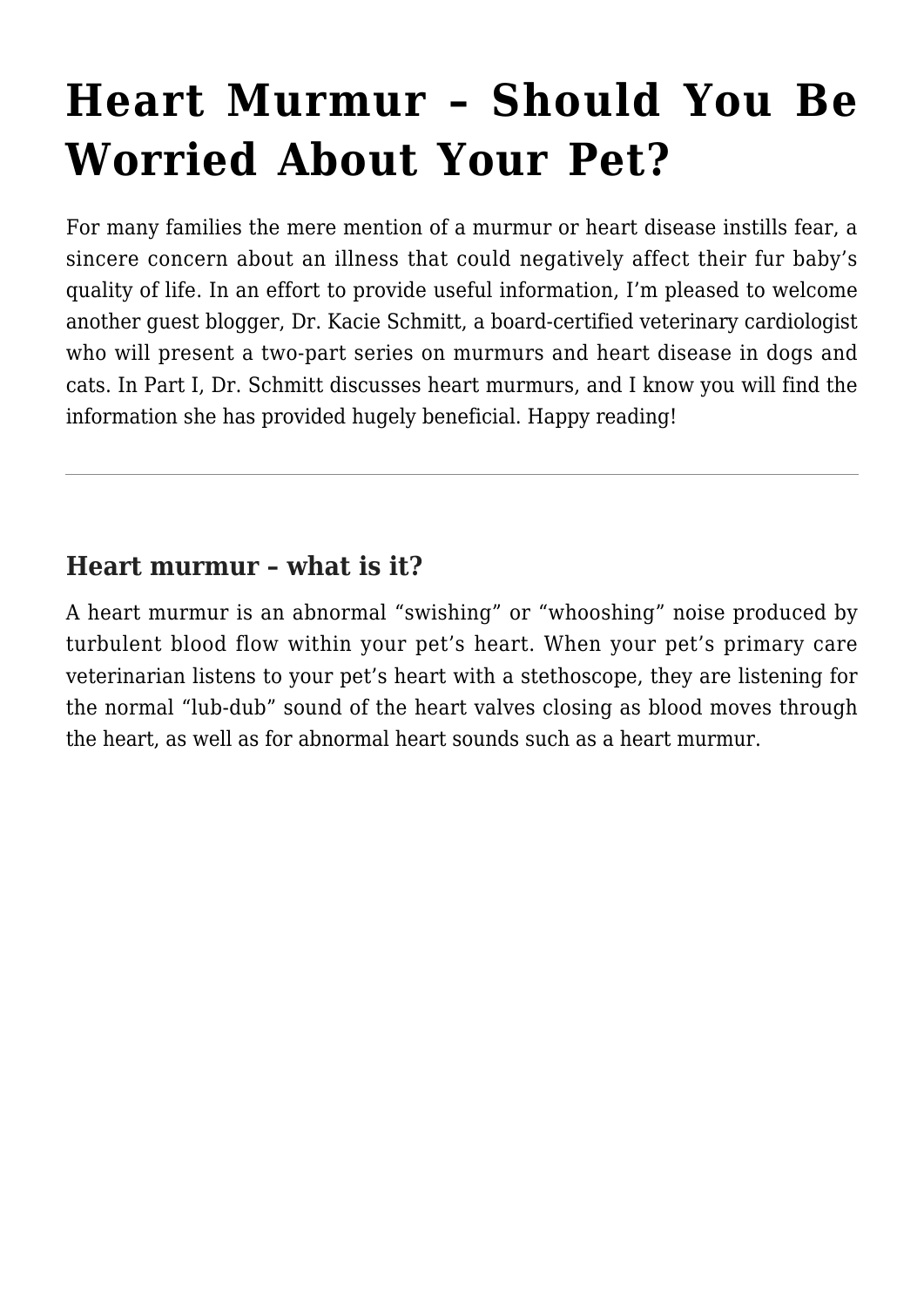# **[Heart Murmur – Should You Be](https://criticalcaredvm.com/heart-murmur-should-you-be-worried-about-your-pet/) [Worried About Your Pet?](https://criticalcaredvm.com/heart-murmur-should-you-be-worried-about-your-pet/)**

For many families the mere mention of a murmur or heart disease instills fear, a sincere concern about an illness that could negatively affect their fur baby's quality of life. In an effort to provide useful information, I'm pleased to welcome another guest blogger, Dr. Kacie Schmitt, a board-certified veterinary cardiologist who will present a two-part series on murmurs and heart disease in dogs and cats. In Part I, Dr. Schmitt discusses heart murmurs, and I know you will find the information she has provided hugely beneficial. Happy reading!

# **Heart murmur – what is it?**

A heart murmur is an abnormal "swishing" or "whooshing" noise produced by turbulent blood flow within your pet's heart. When your pet's primary care veterinarian listens to your pet's heart with a stethoscope, they are listening for the normal "lub-dub" sound of the heart valves closing as blood moves through the heart, as well as for abnormal heart sounds such as a heart murmur.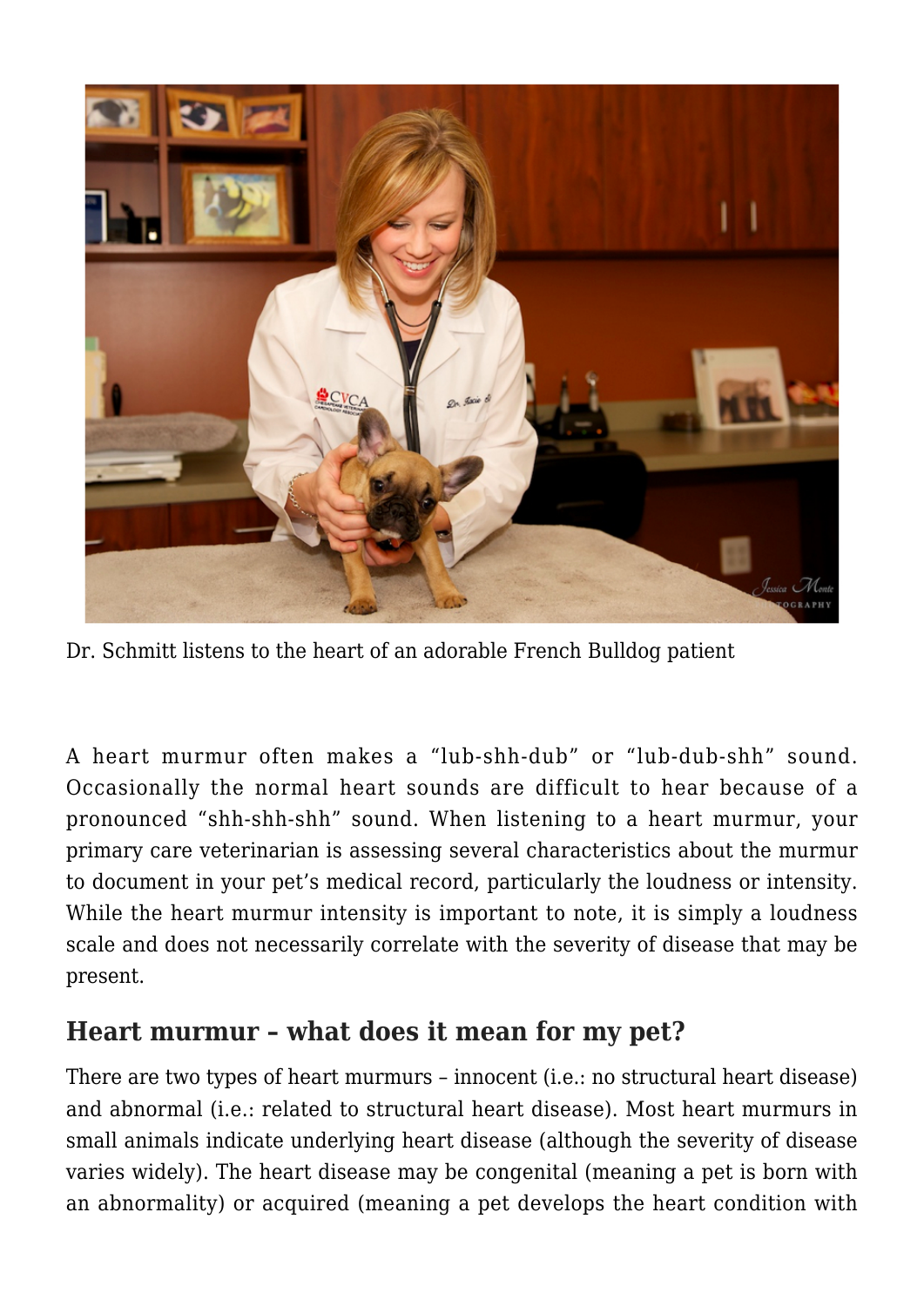

Dr. Schmitt listens to the heart of an adorable French Bulldog patient

A heart murmur often makes a "lub-shh-dub" or "lub-dub-shh" sound. Occasionally the normal heart sounds are difficult to hear because of a pronounced "shh-shh-shh" sound. When listening to a heart murmur, your primary care veterinarian is assessing several characteristics about the murmur to document in your pet's medical record, particularly the loudness or intensity. While the heart murmur intensity is important to note, it is simply a loudness scale and does not necessarily correlate with the severity of disease that may be present.

## **Heart murmur – what does it mean for my pet?**

There are two types of heart murmurs – innocent (i.e.: no structural heart disease) and abnormal (i.e.: related to structural heart disease). Most heart murmurs in small animals indicate underlying heart disease (although the severity of disease varies widely). The heart disease may be congenital (meaning a pet is born with an abnormality) or acquired (meaning a pet develops the heart condition with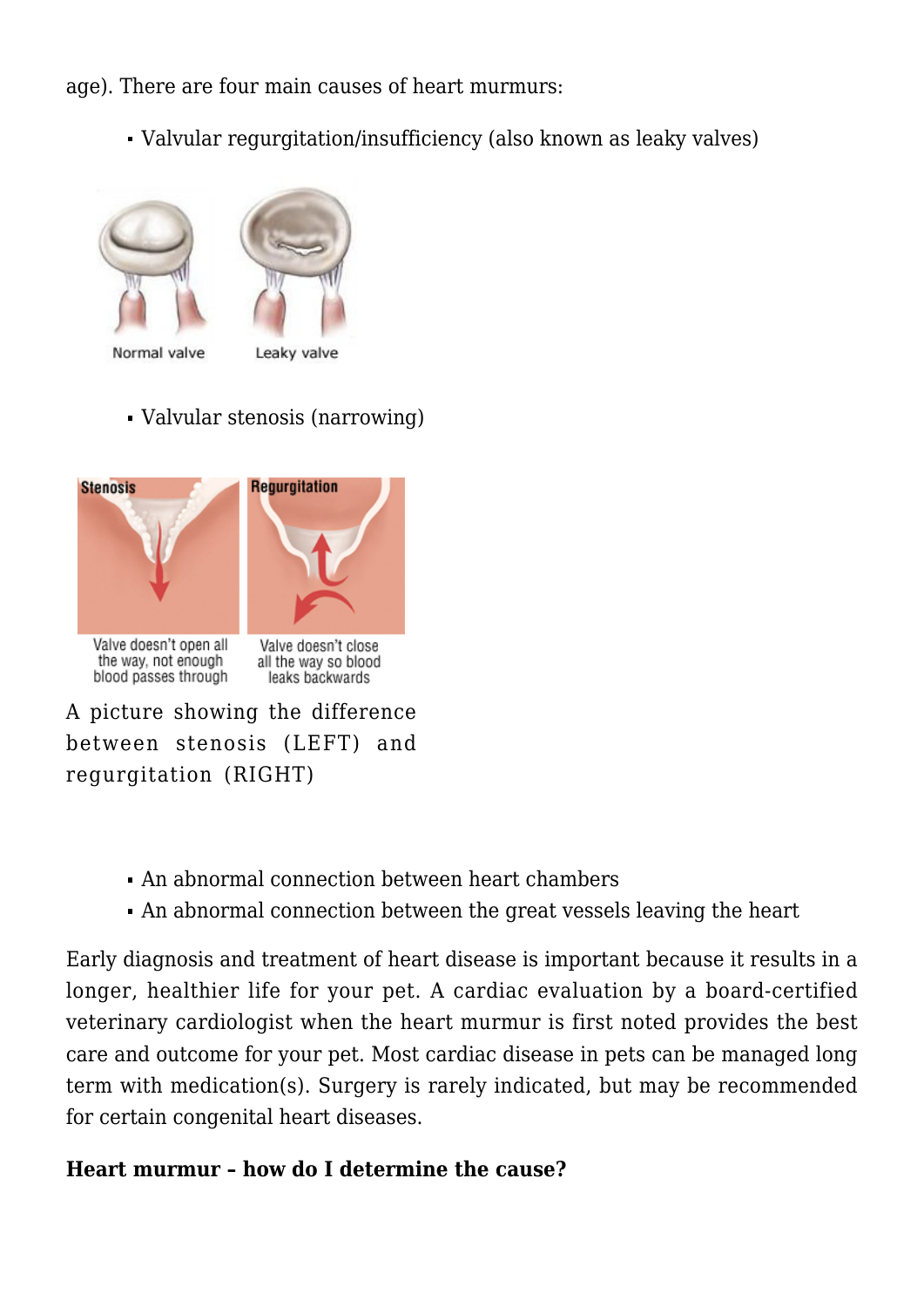age). There are four main causes of heart murmurs:

Valvular regurgitation/insufficiency (also known as leaky valves)



Normal valve



Valvular stenosis (narrowing)



A picture showing the difference between stenosis (LEFT) and regurgitation (RIGHT)

- An abnormal connection between heart chambers
- An abnormal connection between the great vessels leaving the heart

Early diagnosis and treatment of heart disease is important because it results in a longer, healthier life for your pet. A cardiac evaluation by a board-certified veterinary cardiologist when the heart murmur is first noted provides the best care and outcome for your pet. Most cardiac disease in pets can be managed long term with medication(s). Surgery is rarely indicated, but may be recommended for certain congenital heart diseases.

#### **Heart murmur – how do I determine the cause?**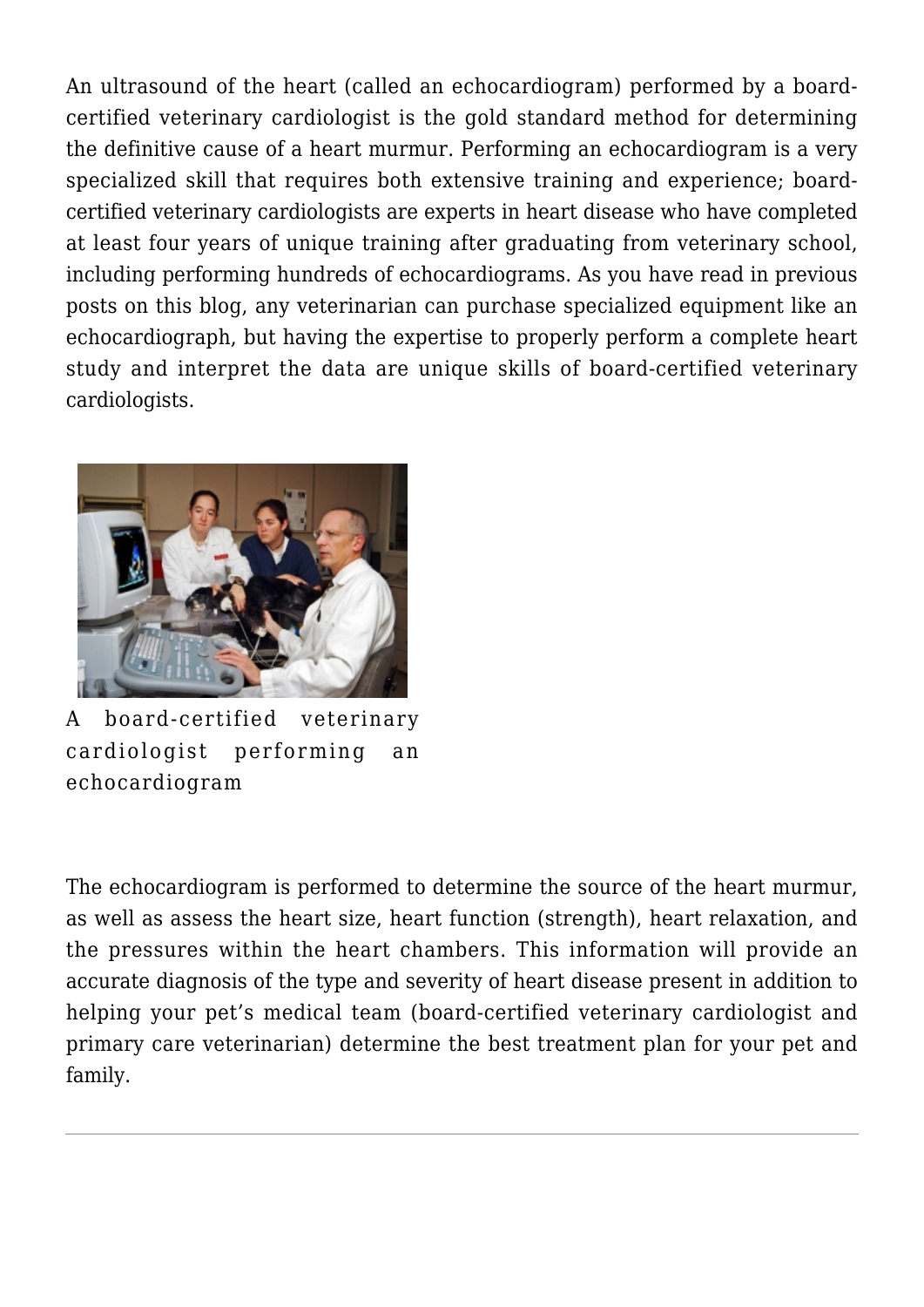An ultrasound of the heart (called an echocardiogram) performed by a boardcertified veterinary cardiologist is the gold standard method for determining the definitive cause of a heart murmur. Performing an echocardiogram is a very specialized skill that requires both extensive training and experience; boardcertified veterinary cardiologists are experts in heart disease who have completed at least four years of unique training after graduating from veterinary school, including performing hundreds of echocardiograms. As you have read in previous posts on this blog, any veterinarian can purchase specialized equipment like an echocardiograph, but having the expertise to properly perform a complete heart study and interpret the data are unique skills of board-certified veterinary cardiologists.



A board-certified veterinary cardiologist performing an echocardiogram

The echocardiogram is performed to determine the source of the heart murmur, as well as assess the heart size, heart function (strength), heart relaxation, and the pressures within the heart chambers. This information will provide an accurate diagnosis of the type and severity of heart disease present in addition to helping your pet's medical team (board-certified veterinary cardiologist and primary care veterinarian) determine the best treatment plan for your pet and family.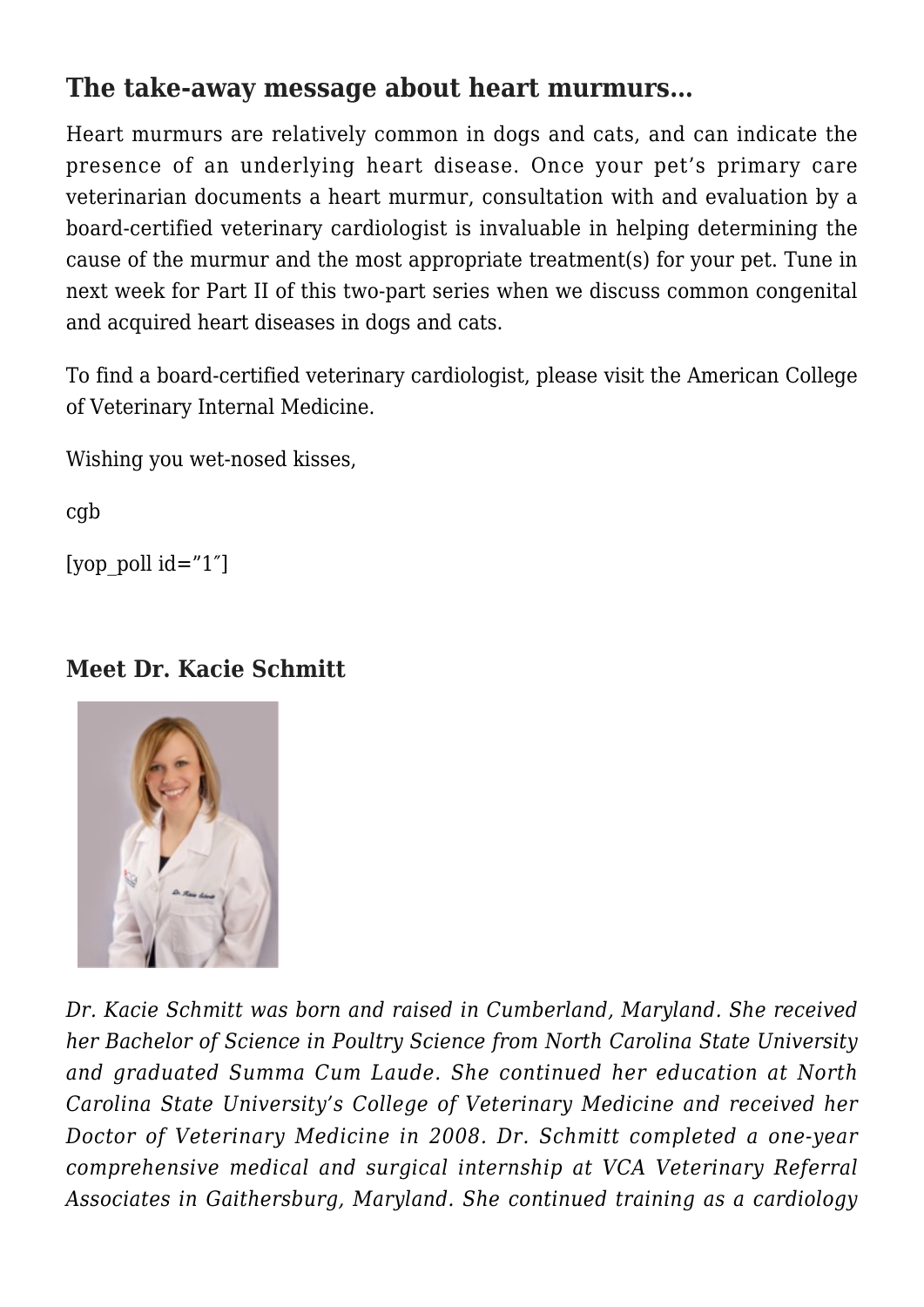# **The take-away message about heart murmurs…**

Heart murmurs are relatively common in dogs and cats, and can indicate the presence of an underlying heart disease. Once your pet's primary care veterinarian documents a heart murmur, consultation with and evaluation by a board-certified veterinary cardiologist is invaluable in helping determining the cause of the murmur and the most appropriate treatment(s) for your pet. Tune in next week for Part II of this two-part series when we discuss common congenital and acquired heart diseases in dogs and cats.

To find a board-certified veterinary cardiologist, please visit the [American College](http://www.acvim.org) [of Veterinary Internal Medicine.](http://www.acvim.org)

Wishing you wet-nosed kisses,

cgb

[yop poll  $id="1"$ ]

### **Meet Dr. Kacie Schmitt**



*Dr. Kacie Schmitt was born and raised in Cumberland, Maryland. She received her Bachelor of Science in Poultry Science from North Carolina State University and graduated Summa Cum Laude. She continued her education at North Carolina State University's College of Veterinary Medicine and received her Doctor of Veterinary Medicine in 2008. Dr. Schmitt completed a one-year comprehensive medical and surgical internship at VCA Veterinary Referral Associates in Gaithersburg, Maryland. She continued training as a cardiology*